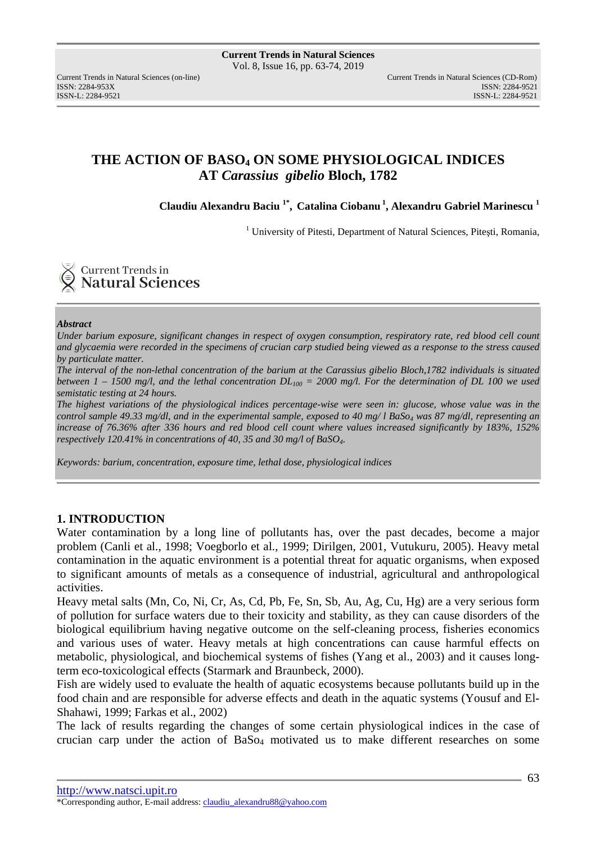ISSN: 2284-953XISSN: 2284-9521

# **THE ACTION OF BASO4 ON SOME PHYSIOLOGICAL INDICES AT** *Carassius gibelio* **Bloch, 1782**

**Claudiu Alexandru Baciu 1\* , Catalina Ciobanu<sup>1</sup>, Alexandru Gabriel Marinescu <sup>1</sup>**

<sup>1</sup> University of Pitesti, Department of Natural Sciences, Pitești, Romania,

**Current Trends in Natural Sciences** 

#### *Abstract*

*Under barium exposure, significant changes in respect of oxygen consumption, respiratory rate, red blood cell count and glycaemia were recorded in the specimens of crucian carp studied being viewed as a response to the stress caused by particulate matter.* 

*The interval of the non-lethal concentration of the barium at the Carassius gibelio Bloch,1782 individuals is situated between 1 – 1500 mg/l, and the lethal concentration*  $DL_{100} = 2000$  *mg/l. For the determination of DL 100 we used semistatic testing at 24 hours.* 

*The highest variations of the physiological indices percentage-wise were seen in: glucose, whose value was in the control sample 49.33 mg/dl, and in the experimental sample, exposed to 40 mg/ l BaS<sub>O<sub>4</sub></sub> was 87 mg/dl, representing an increase of 76.36% after 336 hours and red blood cell count where values increased significantly by 183%, 152% respectively 120.41% in concentrations of 40, 35 and 30 mg/l of BaSO4.* 

*Keywords: barium, concentration, exposure time, lethal dose, physiological indices* 

### **1. INTRODUCTION**

Water contamination by a long line of pollutants has, over the past decades, become a major problem (Canli et al., 1998; Voegborlo et al., 1999; Dirilgen, 2001, Vutukuru, 2005). Heavy metal contamination in the aquatic environment is a potential threat for aquatic organisms, when exposed to significant amounts of metals as a consequence of industrial, agricultural and anthropological activities.

Heavy metal salts (Mn, Co, Ni, Cr, As, Cd, Pb, Fe, Sn, Sb, Au, Ag, Cu, Hg) are a very serious form of pollution for surface waters due to their toxicity and stability, as they can cause disorders of the biological equilibrium having negative outcome on the self-cleaning process, fisheries economics and various uses of water. Heavy metals at high concentrations can cause harmful effects on metabolic, physiological, and biochemical systems of fishes (Yang et al., 2003) and it causes longterm eco-toxicological effects (Starmark and Braunbeck, 2000).

Fish are widely used to evaluate the health of aquatic ecosystems because pollutants build up in the food chain and are responsible for adverse effects and death in the aquatic systems (Yousuf and El-Shahawi, 1999; Farkas et al., 2002)

The lack of results regarding the changes of some certain physiological indices in the case of crucian carp under the action of BaSo<sub>4</sub> motivated us to make different researches on some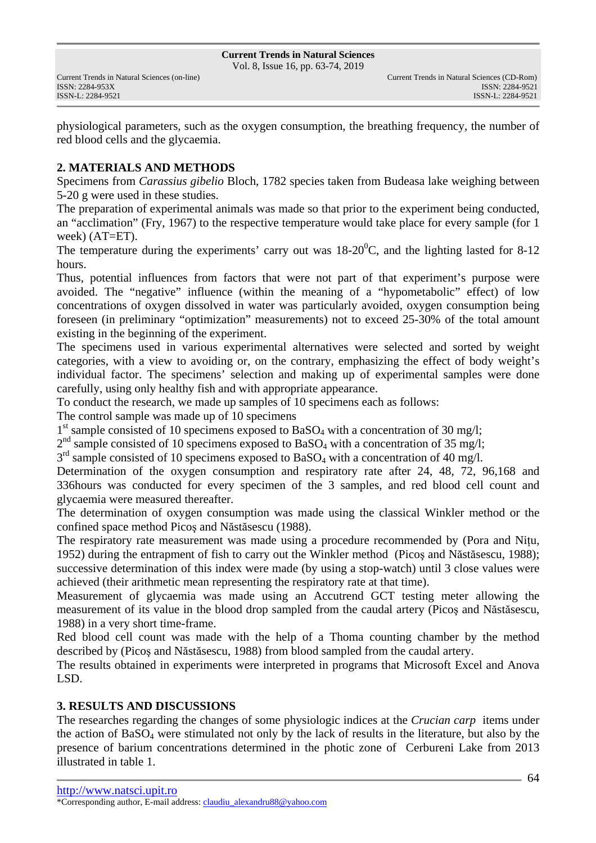Vol. 8, Issue 16, pp. 63-74, 2019

physiological parameters, such as the oxygen consumption, the breathing frequency, the number of red blood cells and the glycaemia.

# **2. MATERIALS AND METHODS**

Specimens from *Carassius gibelio* Bloch, 1782 species taken from Budeasa lake weighing between 5-20 g were used in these studies.

The preparation of experimental animals was made so that prior to the experiment being conducted, an "acclimation" (Fry, 1967) to the respective temperature would take place for every sample (for 1 week) (AT=ET).

The temperature during the experiments' carry out was  $18{\text -}20^0$ C, and the lighting lasted for 8-12 hours.

Thus, potential influences from factors that were not part of that experiment's purpose were avoided. The "negative" influence (within the meaning of a "hypometabolic" effect) of low concentrations of oxygen dissolved in water was particularly avoided, oxygen consumption being foreseen (in preliminary "optimization" measurements) not to exceed 25-30% of the total amount existing in the beginning of the experiment.

The specimens used in various experimental alternatives were selected and sorted by weight categories, with a view to avoiding or, on the contrary, emphasizing the effect of body weight's individual factor. The specimens' selection and making up of experimental samples were done carefully, using only healthy fish and with appropriate appearance.

To conduct the research, we made up samples of 10 specimens each as follows:

The control sample was made up of 10 specimens

1<sup>st</sup> sample consisted of 10 specimens exposed to BaSO<sub>4</sub> with a concentration of 30 mg/l;

 $2<sup>nd</sup>$  sample consisted of 10 specimens exposed to BaSO<sub>4</sub> with a concentration of 35 mg/l;

 $3<sup>rd</sup>$  sample consisted of 10 specimens exposed to BaSO<sub>4</sub> with a concentration of 40 mg/l.

Determination of the oxygen consumption and respiratory rate after 24, 48, 72, 96,168 and 336hours was conducted for every specimen of the 3 samples, and red blood cell count and glycaemia were measured thereafter.

The determination of oxygen consumption was made using the classical Winkler method or the confined space method Picoş and Năstăsescu (1988).

The respiratory rate measurement was made using a procedure recommended by (Pora and Niţu, 1952) during the entrapment of fish to carry out the Winkler method (Picoş and Năstăsescu, 1988); successive determination of this index were made (by using a stop-watch) until 3 close values were achieved (their arithmetic mean representing the respiratory rate at that time).

Measurement of glycaemia was made using an Accutrend GCT testing meter allowing the measurement of its value in the blood drop sampled from the caudal artery (Picoş and Năstăsescu, 1988) in a very short time-frame.

Red blood cell count was made with the help of a Thoma counting chamber by the method described by (Picoş and Năstăsescu, 1988) from blood sampled from the caudal artery.

The results obtained in experiments were interpreted in programs that Microsoft Excel and Anova LSD.

## **3. RESULTS AND DISCUSSIONS**

The researches regarding the changes of some physiologic indices at the *Crucian carp* items under the action of BaSO4 were stimulated not only by the lack of results in the literature, but also by the presence of barium concentrations determined in the photic zone of Cerbureni Lake from 2013 illustrated in table 1.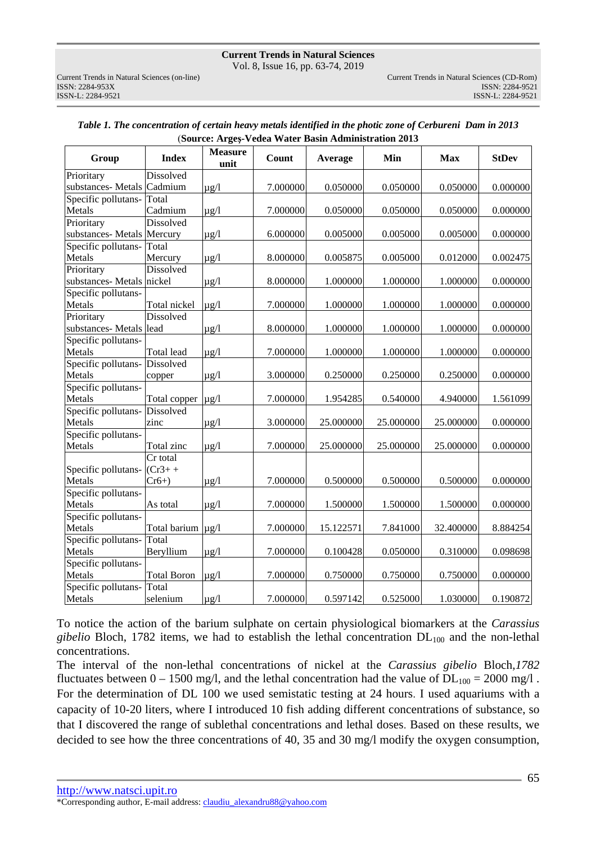Vol. 8, Issue 16, pp. 63-74, 2019

ISSN: 2284-953XISSN: 2284-9521

| Group                           | <b>Index</b>           | <b>Measure</b><br>unit | Count    | Average   | Min       | <b>Max</b> | <b>StDev</b> |
|---------------------------------|------------------------|------------------------|----------|-----------|-----------|------------|--------------|
| Prioritary                      | Dissolved              |                        |          |           |           |            |              |
| substances- Metals Cadmium      |                        | $\mu$ g/l              | 7.000000 | 0.050000  | 0.050000  | 0.050000   | 0.000000     |
| Specific pollutans-Total        |                        |                        |          |           |           |            |              |
| Metals                          | Cadmium                | $\mu$ g/l              | 7.000000 | 0.050000  | 0.050000  | 0.050000   | 0.000000     |
| Prioritary                      | Dissolved              |                        |          |           |           |            |              |
| substances- Metals   Mercury    |                        | $\mu$ g/l              | 6.000000 | 0.005000  | 0.005000  | 0.005000   | 0.000000     |
| Specific pollutans-Total        |                        |                        |          |           |           |            |              |
| Metals                          | Mercury                | $\mu$ g/l              | 8.000000 | 0.005875  | 0.005000  | 0.012000   | 0.002475     |
| Prioritary                      | Dissolved              |                        |          |           |           |            |              |
| substances- Metals nickel       |                        | $\mu$ g/l              | 8.000000 | 1.000000  | 1.000000  | 1.000000   | 0.000000     |
| Specific pollutans-             |                        |                        |          |           |           |            |              |
| Metals                          | Total nickel           | $\mu$ g/l              | 7.000000 | 1.000000  | 1.000000  | 1.000000   | 0.000000     |
| Prioritary                      | Dissolved              |                        |          |           |           |            |              |
| substances-Metals lead          |                        | $\mu$ g/l              | 8.000000 | 1.000000  | 1.000000  | 1.000000   | 0.000000     |
| Specific pollutans-             |                        |                        |          |           |           |            |              |
| Metals                          | Total lead             | $\mu$ g/l              | 7.000000 | 1.000000  | 1.000000  | 1.000000   | 0.000000     |
| Specific pollutans- Dissolved   |                        |                        |          |           |           |            |              |
| Metals                          | copper                 | $\mu$ g/l              | 3.000000 | 0.250000  | 0.250000  | 0.250000   | 0.000000     |
| Specific pollutans-             |                        |                        |          |           |           |            |              |
| Metals                          | Total copper           | $\mu$ g/l              | 7.000000 | 1.954285  | 0.540000  | 4.940000   | 1.561099     |
| Specific pollutans- Dissolved   |                        |                        |          |           |           |            |              |
| Metals                          | zinc                   | $\mu$ g/l              | 3.000000 | 25.000000 | 25.000000 | 25.000000  | 0.000000     |
| Specific pollutans-             |                        |                        |          |           |           |            |              |
| Metals                          | Total zinc             | $\mu$ g/l              | 7.000000 | 25.000000 | 25.000000 | 25.000000  | 0.000000     |
|                                 | Cr total               |                        |          |           |           |            |              |
| Specific pollutans- $ $ (Cr3+ + |                        |                        |          |           |           |            |              |
| Metals                          | $Cr6+$                 | $\mu$ g/l              | 7.000000 | 0.500000  | 0.500000  | 0.500000   | 0.000000     |
| Specific pollutans-             |                        |                        |          |           |           |            |              |
| Metals                          | As total               | $\mu$ g/l              | 7.000000 | 1.500000  | 1.500000  | 1.500000   | 0.000000     |
| Specific pollutans-             |                        |                        |          |           |           |            |              |
| Metals                          | Total barium $\mu$ g/l |                        | 7.000000 | 15.122571 | 7.841000  | 32.400000  | 8.884254     |
| Specific pollutans-             | Total                  |                        |          |           |           |            |              |
| Metals                          | Beryllium              | $\mu$ g/l              | 7.000000 | 0.100428  | 0.050000  | 0.310000   | 0.098698     |
| Specific pollutans-             |                        |                        |          |           |           |            |              |
| Metals                          | <b>Total Boron</b>     | $\mu$ g/l              | 7.000000 | 0.750000  | 0.750000  | 0.750000   | 0.000000     |
| Specific pollutans-Total        |                        |                        |          |           |           |            |              |
| Metals                          | selenium               | $\mu g/l$              | 7.000000 | 0.597142  | 0.525000  | 1.030000   | 0.190872     |

| Table 1. The concentration of certain heavy metals identified in the photic zone of Cerbureni Dam in 2013 |  |
|-----------------------------------------------------------------------------------------------------------|--|
| (Source: Arges-Vedea Water Basin Administration 2013)                                                     |  |

To notice the action of the barium sulphate on certain physiological biomarkers at the *Carassius gibelio* Bloch, 1782 items, we had to establish the lethal concentration DL100 and the non-lethal concentrations.

The interval of the non-lethal concentrations of nickel at the *Carassius gibelio* Bloch*,1782* fluctuates between  $0 - 1500$  mg/l, and the lethal concentration had the value of  $DL_{100} = 2000$  mg/l. For the determination of DL 100 we used semistatic testing at 24 hours. I used aquariums with a capacity of 10-20 liters, where I introduced 10 fish adding different concentrations of substance, so that I discovered the range of sublethal concentrations and lethal doses. Based on these results, we decided to see how the three concentrations of 40, 35 and 30 mg/l modify the oxygen consumption,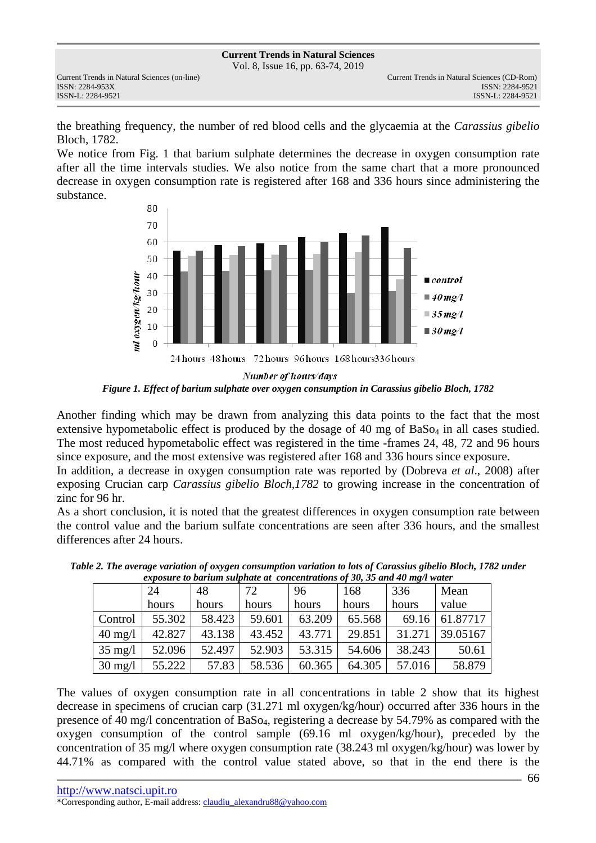Vol. 8, Issue 16, pp. 63-74, 2019

ISSN: 2284-953XISSN: 2284-9521

the breathing frequency, the number of red blood cells and the glycaemia at the *Carassius gibelio*  Bloch, 1782.

We notice from Fig. 1 that barium sulphate determines the decrease in oxygen consumption rate after all the time intervals studies. We also notice from the same chart that a more pronounced decrease in oxygen consumption rate is registered after 168 and 336 hours since administering the substance.



*Figure 1. Effect of barium sulphate over oxygen consumption in Carassius gibelio Bloch, 1782* 

Another finding which may be drawn from analyzing this data points to the fact that the most extensive hypometabolic effect is produced by the dosage of 40 mg of  $BaSo<sub>4</sub>$  in all cases studied. The most reduced hypometabolic effect was registered in the time -frames 24, 48, 72 and 96 hours since exposure, and the most extensive was registered after 168 and 336 hours since exposure.

In addition, a decrease in oxygen consumption rate was reported by (Dobreva *et al*., 2008) after exposing Crucian carp *Carassius gibelio Bloch,1782* to growing increase in the concentration of zinc for 96 hr.

As a short conclusion, it is noted that the greatest differences in oxygen consumption rate between the control value and the barium sulfate concentrations are seen after 336 hours, and the smallest differences after 24 hours.

| caposare to burning suppliere are concentrations of 50, 50 and 10 mg/r mater |        |        |        |        |        |        |                |
|------------------------------------------------------------------------------|--------|--------|--------|--------|--------|--------|----------------|
|                                                                              | 24     | 48     | 72     | -96    | 168    | 336    | Mean           |
|                                                                              | hours  | hours  | hours  | hours  | hours  | hours  | value          |
| Control                                                                      | 55.302 | 58.423 | 59.601 | 63.209 | 65.568 |        | 69.16 61.87717 |
| $40 \text{ mg}/1$                                                            | 42.827 | 43.138 | 43.452 | 43.771 | 29.851 | 31.271 | 39.05167       |
| $35 \text{ mg}/l$                                                            | 52.096 | 52.497 | 52.903 | 53.315 | 54.606 | 38.243 | 50.61          |
| $30 \text{ mg}/1$                                                            | 55.222 | 57.83  | 58.536 | 60.365 | 64.305 | 57.016 | 58.879         |

*Table 2. The average variation of oxygen consumption variation to lots of Carassius gibelio Bloch, 1782 under exposure to barium sulphate at concentrations of 30, 35 and 40 mg/l water* 

The values of oxygen consumption rate in all concentrations in table 2 show that its highest decrease in specimens of crucian carp (31.271 ml oxygen/kg/hour) occurred after 336 hours in the presence of 40 mg/l concentration of BaSo4, registering a decrease by 54.79% as compared with the oxygen consumption of the control sample (69.16 ml oxygen/kg/hour), preceded by the concentration of 35 mg/l where oxygen consumption rate (38.243 ml oxygen/kg/hour) was lower by 44.71% as compared with the control value stated above, so that in the end there is the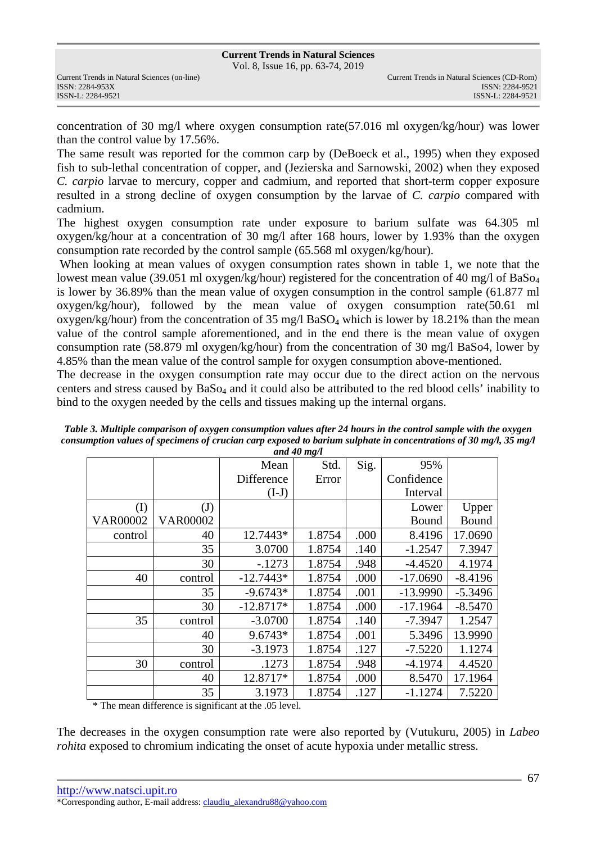Vol. 8, Issue 16, pp. 63-74, 2019

concentration of 30 mg/l where oxygen consumption rate(57.016 ml oxygen/kg/hour) was lower than the control value by 17.56%.

The same result was reported for the common carp by (DeBoeck et al., 1995) when they exposed fish to sub-lethal concentration of copper, and (Jezierska and Sarnowski, 2002) when they exposed *C. carpio* larvae to mercury, copper and cadmium, and reported that short-term copper exposure resulted in a strong decline of oxygen consumption by the larvae of *C. carpio* compared with cadmium.

The highest oxygen consumption rate under exposure to barium sulfate was 64.305 ml oxygen/kg/hour at a concentration of 30 mg/l after 168 hours, lower by 1.93% than the oxygen consumption rate recorded by the control sample (65.568 ml oxygen/kg/hour).

 When looking at mean values of oxygen consumption rates shown in table 1, we note that the lowest mean value (39.051 ml oxygen/kg/hour) registered for the concentration of 40 mg/l of BaSo<sub>4</sub> is lower by 36.89% than the mean value of oxygen consumption in the control sample (61.877 ml oxygen/kg/hour), followed by the mean value of oxygen consumption rate(50.61 ml oxygen/kg/hour) from the concentration of 35 mg/l BaSO<sub>4</sub> which is lower by 18.21% than the mean value of the control sample aforementioned, and in the end there is the mean value of oxygen consumption rate (58.879 ml oxygen/kg/hour) from the concentration of 30 mg/l BaSo4, lower by 4.85% than the mean value of the control sample for oxygen consumption above-mentioned.

The decrease in the oxygen consumption rate may occur due to the direct action on the nervous centers and stress caused by BaSo4 and it could also be attributed to the red blood cells' inability to bind to the oxygen needed by the cells and tissues making up the internal organs.

|                 | Mean        | Std.   | Sig. | 95%        |           |
|-----------------|-------------|--------|------|------------|-----------|
|                 | Difference  | Error  |      | Confidence |           |
|                 | $(I-J)$     |        |      | Interval   |           |
| $\mathrm{J}$    |             |        |      | Lower      | Upper     |
| <b>VAR00002</b> |             |        |      | Bound      | Bound     |
| 40              | 12.7443*    | 1.8754 | .000 | 8.4196     | 17.0690   |
| 35              | 3.0700      | 1.8754 | .140 | $-1.2547$  | 7.3947    |
| 30              | $-.1273$    | 1.8754 | .948 | $-4.4520$  | 4.1974    |
| control         | $-12.7443*$ | 1.8754 | .000 | $-17.0690$ | $-8.4196$ |
| 35              | $-9.6743*$  | 1.8754 | .001 | $-13.9990$ | $-5.3496$ |
| 30              | $-12.8717*$ | 1.8754 | .000 | $-17.1964$ | $-8.5470$ |
| control         | $-3.0700$   | 1.8754 | .140 | $-7.3947$  | 1.2547    |
| 40              | $9.6743*$   | 1.8754 | .001 | 5.3496     | 13.9990   |
| 30              | $-3.1973$   | 1.8754 | .127 | $-7.5220$  | 1.1274    |
| control         | .1273       | 1.8754 | .948 | $-4.1974$  | 4.4520    |
| 40              | 12.8717*    | 1.8754 | .000 | 8.5470     | 17.1964   |
| 35              | 3.1973      | 1.8754 | .127 | $-1.1274$  | 7.5220    |
|                 |             |        |      |            |           |

*Table 3. Multiple comparison of oxygen consumption values after 24 hours in the control sample with the oxygen consumption values of specimens of crucian carp exposed to barium sulphate in concentrations of 30 mg/l, 35 mg/l and 40 mg/l* 

\* The mean difference is significant at the .05 level.

The decreases in the oxygen consumption rate were also reported by (Vutukuru, 2005) in *Labeo rohita* exposed to chromium indicating the onset of acute hypoxia under metallic stress.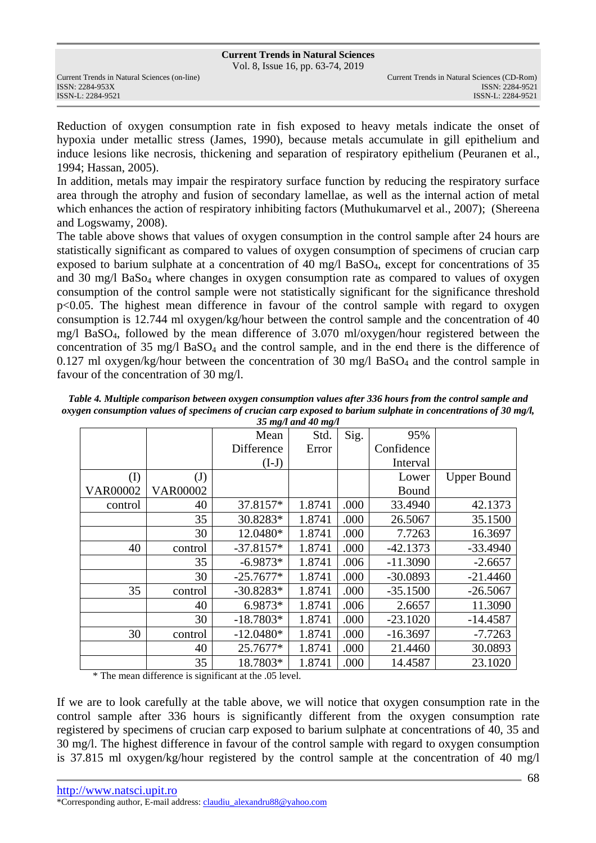Vol. 8, Issue 16, pp. 63-74, 2019

ISSN: 2284-953XISSN: 2284-9521

Reduction of oxygen consumption rate in fish exposed to heavy metals indicate the onset of hypoxia under metallic stress (James, 1990), because metals accumulate in gill epithelium and induce lesions like necrosis, thickening and separation of respiratory epithelium (Peuranen et al., 1994; Hassan, 2005).

In addition, metals may impair the respiratory surface function by reducing the respiratory surface area through the atrophy and fusion of secondary lamellae, as well as the internal action of metal which enhances the action of respiratory inhibiting factors (Muthukumarvel et al., 2007); (Shereena and Logswamy, 2008).

The table above shows that values of oxygen consumption in the control sample after 24 hours are statistically significant as compared to values of oxygen consumption of specimens of crucian carp exposed to barium sulphate at a concentration of 40 mg/l BaSO4, except for concentrations of 35 and 30 mg/l BaSo<sub>4</sub> where changes in oxygen consumption rate as compared to values of oxygen consumption of the control sample were not statistically significant for the significance threshold p<0.05. The highest mean difference in favour of the control sample with regard to oxygen consumption is 12.744 ml oxygen/kg/hour between the control sample and the concentration of 40 mg/l BaSO4, followed by the mean difference of 3.070 ml/oxygen/hour registered between the concentration of  $35 \text{ mg/l}$  BaSO<sub>4</sub> and the control sample, and in the end there is the difference of 0.127 ml oxygen/kg/hour between the concentration of 30 mg/l  $BaSO<sub>4</sub>$  and the control sample in favour of the concentration of 30 mg/l.

|                 |                 |             | <i>33 mg/v ana <del>4</del>0 mg/v</i> |      |            |                    |
|-----------------|-----------------|-------------|---------------------------------------|------|------------|--------------------|
|                 |                 | Mean        | Std.                                  | Sig. | 95%        |                    |
|                 |                 | Difference  | Error                                 |      | Confidence |                    |
|                 |                 | $(I-J)$     |                                       |      | Interval   |                    |
| (I)             | (J)             |             |                                       |      | Lower      | <b>Upper Bound</b> |
| <b>VAR00002</b> | <b>VAR00002</b> |             |                                       |      | Bound      |                    |
| control         | 40              | 37.8157*    | 1.8741                                | .000 | 33.4940    | 42.1373            |
|                 | 35              | 30.8283*    | 1.8741                                | .000 | 26.5067    | 35.1500            |
|                 | 30              | 12.0480*    | 1.8741                                | .000 | 7.7263     | 16.3697            |
| 40              | control         | $-37.8157*$ | 1.8741                                | .000 | $-42.1373$ | $-33.4940$         |
|                 | 35              | $-6.9873*$  | 1.8741                                | .006 | $-11.3090$ | $-2.6657$          |
|                 | 30              | $-25.7677*$ | 1.8741                                | .000 | $-30.0893$ | $-21.4460$         |
| 35              | control         | $-30.8283*$ | 1.8741                                | .000 | $-35.1500$ | $-26.5067$         |
|                 | 40              | 6.9873*     | 1.8741                                | .006 | 2.6657     | 11.3090            |
|                 | 30              | $-18.7803*$ | 1.8741                                | .000 | $-23.1020$ | $-14.4587$         |
| 30              | control         | $-12.0480*$ | 1.8741                                | .000 | $-16.3697$ | $-7.7263$          |
|                 | 40              | 25.7677*    | 1.8741                                | .000 | 21.4460    | 30.0893            |
|                 | 35              | 18.7803*    | 1.8741                                | .000 | 14.4587    | 23.1020            |

*Table 4. Multiple comparison between oxygen consumption values after 336 hours from the control sample and oxygen consumption values of specimens of crucian carp exposed to barium sulphate in concentrations of 30 mg/l, 35 mg/l and 40 mg/l*

\* The mean difference is significant at the .05 level.

If we are to look carefully at the table above, we will notice that oxygen consumption rate in the control sample after 336 hours is significantly different from the oxygen consumption rate registered by specimens of crucian carp exposed to barium sulphate at concentrations of 40, 35 and 30 mg/l. The highest difference in favour of the control sample with regard to oxygen consumption is 37.815 ml oxygen/kg/hour registered by the control sample at the concentration of 40 mg/l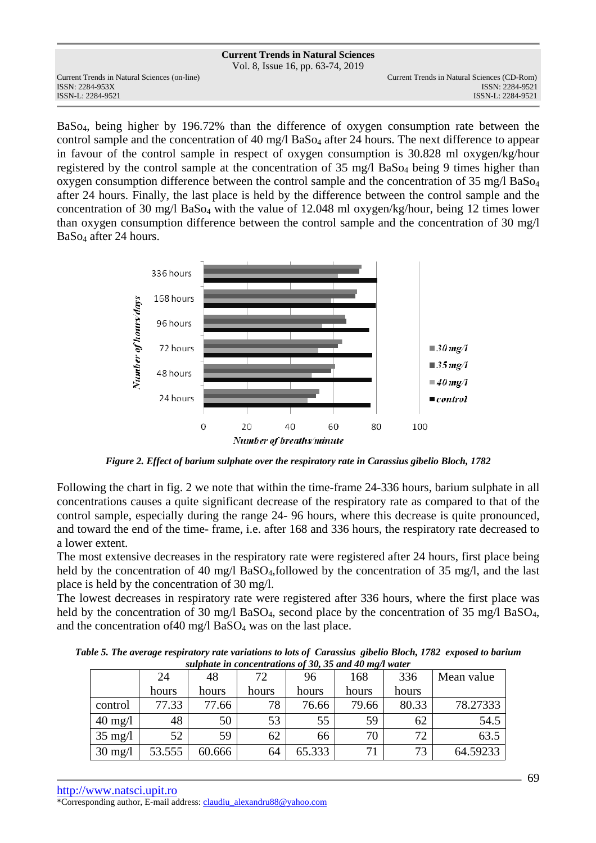Vol. 8, Issue 16, pp. 63-74, 2019

ISSN: 2284-953XISSN: 2284-9521

Current Trends in Natural Sciences (on-line) Current Trends in Natural Sciences (CD-Rom) ISSN-L: 2284-9521 ISSN-L: 2284-9521

BaSo4, being higher by 196.72% than the difference of oxygen consumption rate between the control sample and the concentration of 40 mg/l BaS<sub>O4</sub> after 24 hours. The next difference to appear in favour of the control sample in respect of oxygen consumption is 30.828 ml oxygen/kg/hour registered by the control sample at the concentration of 35 mg/l BaSo<sub>4</sub> being 9 times higher than oxygen consumption difference between the control sample and the concentration of 35 mg/l BaSo<sup>4</sup> after 24 hours. Finally, the last place is held by the difference between the control sample and the concentration of 30 mg/l BaSo4 with the value of 12.048 ml oxygen/kg/hour, being 12 times lower than oxygen consumption difference between the control sample and the concentration of 30 mg/l BaSo4 after 24 hours.



*Figure 2. Effect of barium sulphate over the respiratory rate in Carassius gibelio Bloch, 1782* 

Following the chart in fig. 2 we note that within the time-frame 24-336 hours, barium sulphate in all concentrations causes a quite significant decrease of the respiratory rate as compared to that of the control sample, especially during the range 24- 96 hours, where this decrease is quite pronounced, and toward the end of the time- frame, i.e. after 168 and 336 hours, the respiratory rate decreased to a lower extent.

The most extensive decreases in the respiratory rate were registered after 24 hours, first place being held by the concentration of 40 mg/l BaSO<sub>4</sub>, followed by the concentration of 35 mg/l, and the last place is held by the concentration of 30 mg/l.

The lowest decreases in respiratory rate were registered after 336 hours, where the first place was held by the concentration of 30 mg/l BaSO<sub>4</sub>, second place by the concentration of 35 mg/l BaSO<sub>4</sub>, and the concentration of 40 mg/l  $BaSO<sub>4</sub>$  was on the last place.

*Table 5. The average respiratory rate variations to lots of Carassius gibelio Bloch, 1782 exposed to barium sulphate in concentrations of 30, 35 and 40 mg/l water*

| $\frac{1}{2}$ and $\frac{1}{2}$ are concerned anones by $\frac{1}{2}$ by $\frac{1}{2}$ and $\frac{1}{2}$ and $\frac{1}{2}$ are matter |        |        |       |        |       |       |            |
|---------------------------------------------------------------------------------------------------------------------------------------|--------|--------|-------|--------|-------|-------|------------|
|                                                                                                                                       | 24     | 48     | 72    | 96     | 168   | 336   | Mean value |
|                                                                                                                                       | hours  | hours  | hours | hours  | hours | hours |            |
| control                                                                                                                               | 77.33  | 77.66  | 78    | 76.66  | 79.66 | 80.33 | 78.27333   |
| $40 \text{ mg}/1$                                                                                                                     | 48     | 50     | 53    | 55     | 59    | 62    | 54.5       |
| $35 \text{ mg}/l$                                                                                                                     | 52     | 59     | 62    | 66     | 70    | 72    | 63.5       |
| $30 \text{ mg}/l$                                                                                                                     | 53.555 | 60.666 | 64    | 65.333 | 71    | 73    | 64.59233   |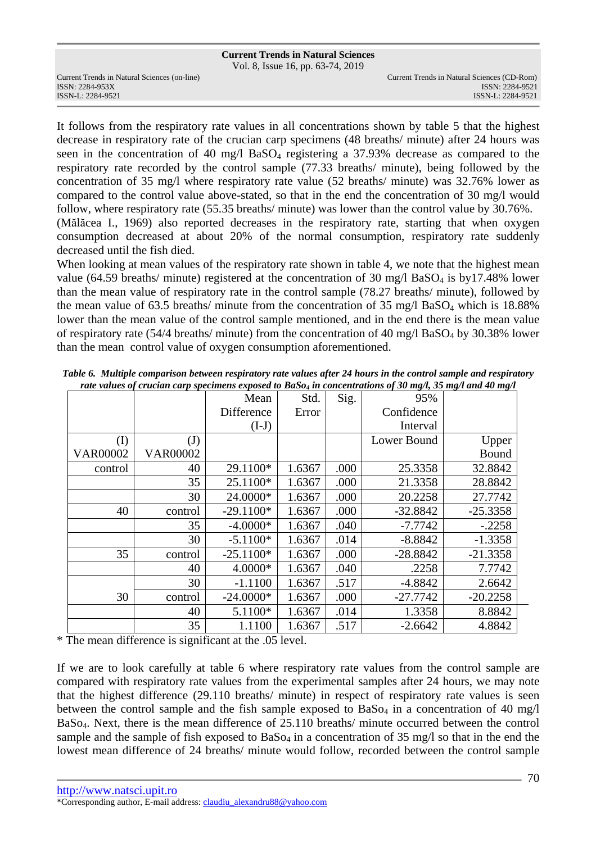Vol. 8, Issue 16, pp. 63-74, 2019

ISSN: 2284-953XISSN: 2284-9521

It follows from the respiratory rate values in all concentrations shown by table 5 that the highest decrease in respiratory rate of the crucian carp specimens (48 breaths/ minute) after 24 hours was seen in the concentration of 40 mg/l BaSO4 registering a 37.93% decrease as compared to the respiratory rate recorded by the control sample (77.33 breaths/ minute), being followed by the concentration of 35 mg/l where respiratory rate value (52 breaths/ minute) was 32.76% lower as compared to the control value above-stated, so that in the end the concentration of 30 mg/l would follow, where respiratory rate (55.35 breaths/ minute) was lower than the control value by 30.76%. (Mălăcea I., 1969) also reported decreases in the respiratory rate, starting that when oxygen consumption decreased at about 20% of the normal consumption, respiratory rate suddenly decreased until the fish died.

When looking at mean values of the respiratory rate shown in table 4, we note that the highest mean value (64.59 breaths/ minute) registered at the concentration of 30 mg/l BaSO<sub>4</sub> is by17.48% lower than the mean value of respiratory rate in the control sample (78.27 breaths/ minute), followed by the mean value of 63.5 breaths/ minute from the concentration of 35 mg/l BaSO<sub>4</sub> which is 18.88% lower than the mean value of the control sample mentioned, and in the end there is the mean value of respiratory rate (54/4 breaths/ minute) from the concentration of 40 mg/l BaSO<sub>4</sub> by 30.38% lower than the mean control value of oxygen consumption aforementioned.

|                 |                 | Mean        | Std.   | Sig. | 95%         |            |
|-----------------|-----------------|-------------|--------|------|-------------|------------|
|                 |                 | Difference  | Error  |      | Confidence  |            |
|                 |                 | $(I-J)$     |        |      | Interval    |            |
| (I)             | $\mathrm{J}$    |             |        |      | Lower Bound | Upper      |
| <b>VAR00002</b> | <b>VAR00002</b> |             |        |      |             | Bound      |
| control         | 40              | 29.1100*    | 1.6367 | .000 | 25.3358     | 32.8842    |
|                 | 35              | 25.1100*    | 1.6367 | .000 | 21.3358     | 28.8842    |
|                 | 30              | 24.0000*    | 1.6367 | .000 | 20.2258     | 27.7742    |
| 40              | control         | $-29.1100*$ | 1.6367 | .000 | $-32.8842$  | $-25.3358$ |
|                 | 35              | $-4.0000*$  | 1.6367 | .040 | $-7.7742$   | $-.2258$   |
|                 | 30              | $-5.1100*$  | 1.6367 | .014 | $-8.8842$   | $-1.3358$  |
| 35              | control         | $-25.1100*$ | 1.6367 | .000 | $-28.8842$  | $-21.3358$ |
|                 | 40              | 4.0000*     | 1.6367 | .040 | .2258       | 7.7742     |
|                 | 30              | $-1.1100$   | 1.6367 | .517 | $-4.8842$   | 2.6642     |
| 30              | control         | $-24.0000*$ | 1.6367 | .000 | $-27.7742$  | $-20.2258$ |
|                 | 40              | 5.1100*     | 1.6367 | .014 | 1.3358      | 8.8842     |
|                 | 35              | 1.1100      | 1.6367 | .517 | $-2.6642$   | 4.8842     |

*Table 6. Multiple comparison between respiratory rate values after 24 hours in the control sample and respiratory rate values of crucian carp specimens exposed to BaSo4 in concentrations of 30 mg/l, 35 mg/l and 40 mg/l*

\* The mean difference is significant at the .05 level.

If we are to look carefully at table 6 where respiratory rate values from the control sample are compared with respiratory rate values from the experimental samples after 24 hours, we may note that the highest difference (29.110 breaths/ minute) in respect of respiratory rate values is seen between the control sample and the fish sample exposed to  $BaSo<sub>4</sub>$  in a concentration of 40 mg/l BaSo4. Next, there is the mean difference of 25.110 breaths/ minute occurred between the control sample and the sample of fish exposed to  $BaSo<sub>4</sub>$  in a concentration of 35 mg/l so that in the end the lowest mean difference of 24 breaths/ minute would follow, recorded between the control sample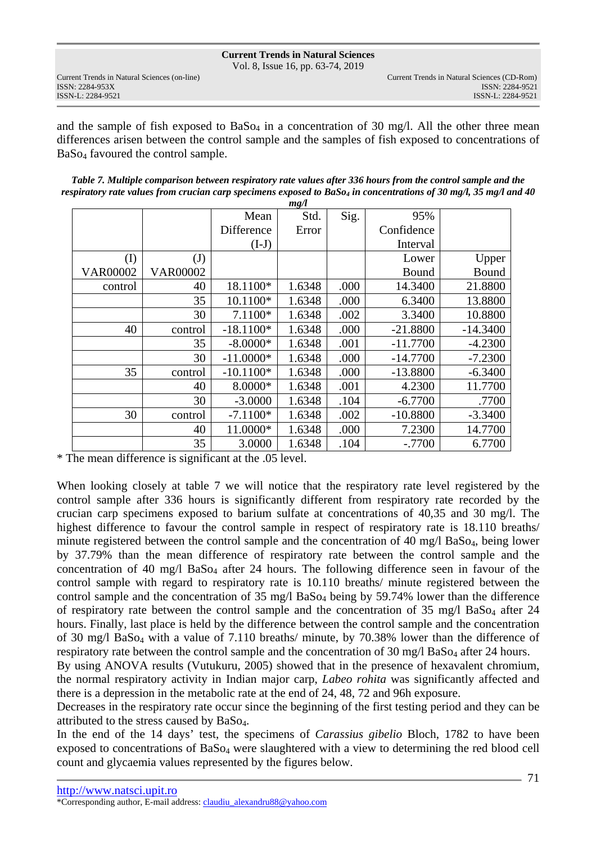Vol. 8, Issue 16, pp. 63-74, 2019

and the sample of fish exposed to  $BaSo<sub>4</sub>$  in a concentration of 30 mg/l. All the other three mean differences arisen between the control sample and the samples of fish exposed to concentrations of BaSo4 favoured the control sample.

| Table 7. Multiple comparison between respiratory rate values after 336 hours from the control sample and the        |
|---------------------------------------------------------------------------------------------------------------------|
| respiratory rate values from crucian carp specimens exposed to $BaSo4$ in concentrations of 30 mg/l, 35 mg/l and 40 |

|                 |                 |             | mg/l   |      |            |            |
|-----------------|-----------------|-------------|--------|------|------------|------------|
|                 |                 | Mean        | Std.   | Sig. | 95%        |            |
|                 |                 | Difference  | Error  |      | Confidence |            |
|                 |                 | $(I-J)$     |        |      | Interval   |            |
| (I)             | $\mathrm{(J)}$  |             |        |      | Lower      | Upper      |
| <b>VAR00002</b> | <b>VAR00002</b> |             |        |      | Bound      | Bound      |
| control         | 40              | 18.1100*    | 1.6348 | .000 | 14.3400    | 21.8800    |
|                 | 35              | 10.1100*    | 1.6348 | .000 | 6.3400     | 13.8800    |
|                 | 30              | 7.1100*     | 1.6348 | .002 | 3.3400     | 10.8800    |
| 40              | control         | $-18.1100*$ | 1.6348 | .000 | $-21.8800$ | $-14.3400$ |
|                 | 35              | $-8.0000*$  | 1.6348 | .001 | $-11.7700$ | $-4.2300$  |
|                 | 30              | $-11.0000*$ | 1.6348 | .000 | $-14.7700$ | $-7.2300$  |
| 35              | control         | $-10.1100*$ | 1.6348 | .000 | $-13.8800$ | $-6.3400$  |
|                 | 40              | 8.0000*     | 1.6348 | .001 | 4.2300     | 11.7700    |
|                 | 30              | $-3.0000$   | 1.6348 | .104 | $-6.7700$  | .7700      |
| 30              | control         | $-7.1100*$  | 1.6348 | .002 | $-10.8800$ | $-3.3400$  |
|                 | 40              | 11.0000*    | 1.6348 | .000 | 7.2300     | 14.7700    |
|                 | 35              | 3.0000      | 1.6348 | .104 | $-.7700$   | 6.7700     |

\* The mean difference is significant at the .05 level.

When looking closely at table 7 we will notice that the respiratory rate level registered by the control sample after 336 hours is significantly different from respiratory rate recorded by the crucian carp specimens exposed to barium sulfate at concentrations of 40,35 and 30 mg/l. The highest difference to favour the control sample in respect of respiratory rate is 18.110 breaths/ minute registered between the control sample and the concentration of 40 mg/l  $BaSo<sub>4</sub>$ , being lower by 37.79% than the mean difference of respiratory rate between the control sample and the concentration of 40 mg/l BaSo<sub>4</sub> after 24 hours. The following difference seen in favour of the control sample with regard to respiratory rate is 10.110 breaths/ minute registered between the control sample and the concentration of 35 mg/l BaSo<sub>4</sub> being by 59.74% lower than the difference of respiratory rate between the control sample and the concentration of  $35 \text{ mg/l}$  BaS $_{94}$  after  $24$ hours. Finally, last place is held by the difference between the control sample and the concentration of 30 mg/l BaSo4 with a value of 7.110 breaths/ minute, by 70.38% lower than the difference of respiratory rate between the control sample and the concentration of 30 mg/l BaSo<sub>4</sub> after 24 hours.

By using ANOVA results (Vutukuru, 2005) showed that in the presence of hexavalent chromium, the normal respiratory activity in Indian major carp, *Labeo rohita* was significantly affected and there is a depression in the metabolic rate at the end of 24, 48, 72 and 96h exposure.

Decreases in the respiratory rate occur since the beginning of the first testing period and they can be attributed to the stress caused by BaSo4.

In the end of the 14 days' test, the specimens of *Carassius gibelio* Bloch, 1782 to have been exposed to concentrations of BaSo4 were slaughtered with a view to determining the red blood cell count and glycaemia values represented by the figures below.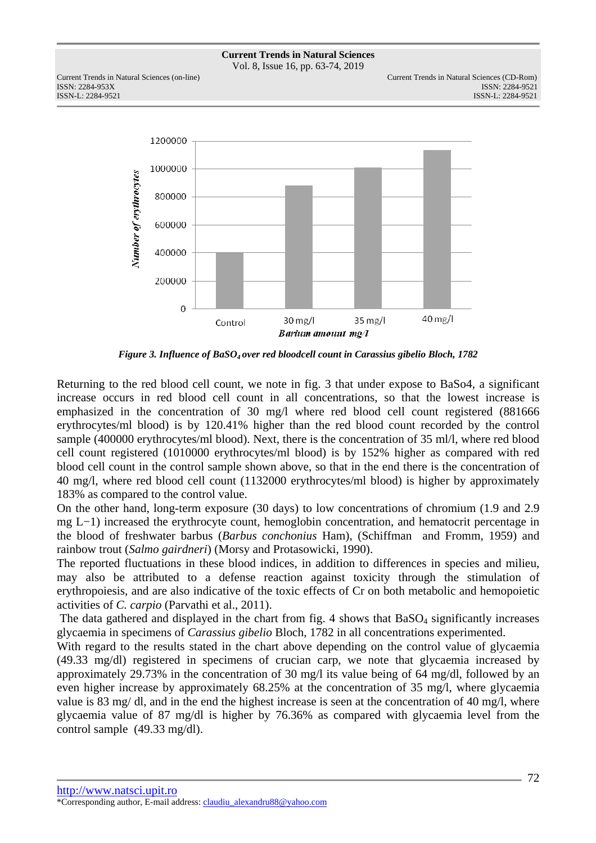Vol. 8, Issue 16, pp. 63-74, 2019

ISSN: 2284-953XISSN: 2284-9521



*Figure 3. Influence of BaSO4 over red bloodcell count in Carassius gibelio Bloch, 1782* 

Returning to the red blood cell count, we note in fig. 3 that under expose to BaSo4, a significant increase occurs in red blood cell count in all concentrations, so that the lowest increase is emphasized in the concentration of 30 mg/l where red blood cell count registered (881666 erythrocytes/ml blood) is by 120.41% higher than the red blood count recorded by the control sample (400000 erythrocytes/ml blood). Next, there is the concentration of 35 ml/l, where red blood cell count registered (1010000 erythrocytes/ml blood) is by 152% higher as compared with red blood cell count in the control sample shown above, so that in the end there is the concentration of 40 mg/l, where red blood cell count (1132000 erythrocytes/ml blood) is higher by approximately 183% as compared to the control value.

On the other hand, long-term exposure (30 days) to low concentrations of chromium (1.9 and 2.9 mg L−1) increased the erythrocyte count, hemoglobin concentration, and hematocrit percentage in the blood of freshwater barbus (*Barbus conchonius* Ham), (Schiffman and Fromm, 1959) and rainbow trout (*Salmo gairdneri*) (Morsy and Protasowicki, 1990).

The reported fluctuations in these blood indices, in addition to differences in species and milieu, may also be attributed to a defense reaction against toxicity through the stimulation of erythropoiesis, and are also indicative of the toxic effects of Cr on both metabolic and hemopoietic activities of *C. carpio* (Parvathi et al., 2011).

The data gathered and displayed in the chart from fig. 4 shows that  $BaSO<sub>4</sub>$  significantly increases glycaemia in specimens of *Carassius gibelio* Bloch, 1782 in all concentrations experimented.

With regard to the results stated in the chart above depending on the control value of glycaemia (49.33 mg/dl) registered in specimens of crucian carp, we note that glycaemia increased by approximately 29.73% in the concentration of 30 mg/l its value being of 64 mg/dl, followed by an even higher increase by approximately 68.25% at the concentration of 35 mg/l, where glycaemia value is 83 mg/ dl, and in the end the highest increase is seen at the concentration of 40 mg/l, where glycaemia value of 87 mg/dl is higher by 76.36% as compared with glycaemia level from the control sample (49.33 mg/dl).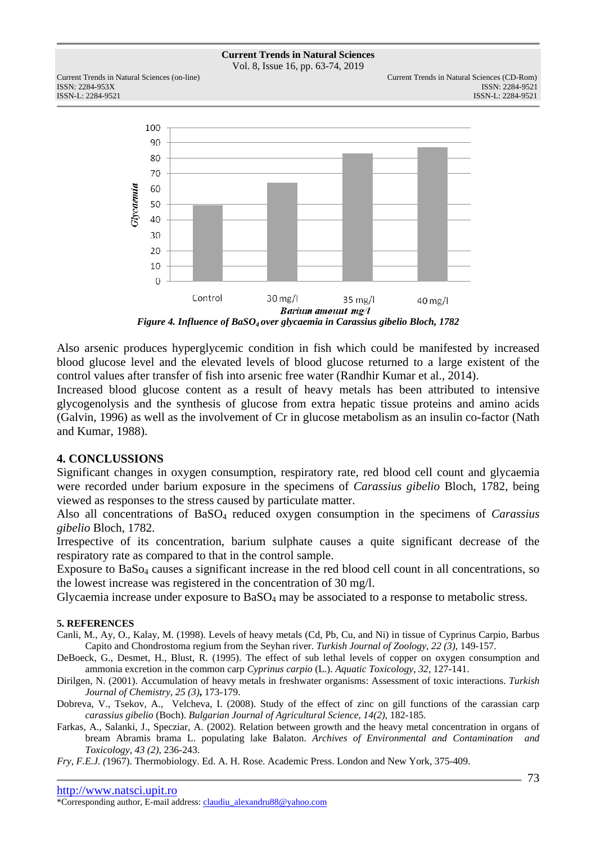

Vol. 8, Issue 16, pp. 63-74, 2019

ISSN: 2284-953XISSN: 2284-9521



*Figure 4. Influence of BaSO4 over glycaemia in Carassius gibelio Bloch, 1782* 

Also arsenic produces hyperglycemic condition in fish which could be manifested by increased blood glucose level and the elevated levels of blood glucose returned to a large existent of the control values after transfer of fish into arsenic free water (Randhir Kumar et al., 2014).

Increased blood glucose content as a result of heavy metals has been attributed to intensive glycogenolysis and the synthesis of glucose from extra hepatic tissue proteins and amino acids (Galvin, 1996) as well as the involvement of Cr in glucose metabolism as an insulin co-factor (Nath and Kumar, 1988).

# **4. CONCLUSSIONS**

Significant changes in oxygen consumption, respiratory rate, red blood cell count and glycaemia were recorded under barium exposure in the specimens of *Carassius gibelio* Bloch, 1782, being viewed as responses to the stress caused by particulate matter.

Also all concentrations of BaSO4 reduced oxygen consumption in the specimens of *Carassius gibelio* Bloch, 1782.

Irrespective of its concentration, barium sulphate causes a quite significant decrease of the respiratory rate as compared to that in the control sample.

Exposure to BaS<sub>O4</sub> causes a significant increase in the red blood cell count in all concentrations, so the lowest increase was registered in the concentration of 30 mg/l.

Glycaemia increase under exposure to BaSO<sub>4</sub> may be associated to a response to metabolic stress.

## **5. REFERENCES**

- Canli, M., Ay, O., Kalay, M. (1998). Levels of heavy metals (Cd, Pb, Cu, and Ni) in tissue of Cyprinus Carpio, Barbus Capito and Chondrostoma regium from the Seyhan river. *Turkish Journal of Zoology*, *22 (3)*, 149-157.
- DeBoeck, G., Desmet, H., Blust, R. (1995). The effect of sub lethal levels of copper on oxygen consumption and ammonia excretion in the common carp *Cyprinus carpio* (L.). *Aquatic Toxicology*, *32*, 127-141.
- Dirilgen, N. (2001). Accumulation of heavy metals in freshwater organisms: Assessment of toxic interactions. *Turkish Journal of Chemistry*, *25 (3)***,** 173-179.
- Dobreva, V., Tsekov, A., Velcheva, I. (2008). Study of the effect of zinc on gill functions of the carassian carp *carassius gibelio* (Boch). *Bulgarian Journal of Agricultural Science*, *14(2)*, 182-185.
- Farkas, A., Salanki, J., Specziar, A. (2002). Relation between growth and the heavy metal concentration in organs of bream Abramis brama L. populating lake Balaton. *Archives of Environmental and Contamination and Toxicology*, *43 (2)*, 236-243.

*Fry, F.E.J. (*1967). Thermobiology. Ed. A. H. Rose. Academic Press. London and New York, 375-409.